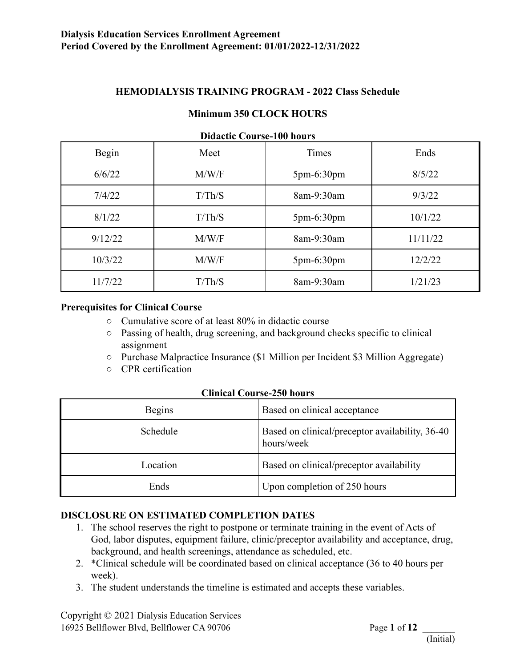### **HEMODIALYSIS TRAINING PROGRAM - 2022 Class Schedule**

#### **Minimum 350 CLOCK HOURS**

| DRACHU COUI SC-TOU HOUTS |        |              |          |  |  |  |  |
|--------------------------|--------|--------------|----------|--|--|--|--|
| Begin                    | Meet   | Times        | Ends     |  |  |  |  |
| 6/6/22                   | M/W/F  | $5pm-6:30pm$ | 8/5/22   |  |  |  |  |
| 7/4/22                   | T/Th/S | 8am-9:30am   | 9/3/22   |  |  |  |  |
| 8/1/22                   | T/Th/S | $5pm-6:30pm$ | 10/1/22  |  |  |  |  |
| 9/12/22                  | M/W/F  | 8am-9:30am   | 11/11/22 |  |  |  |  |
| 10/3/22                  | M/W/F  | $5pm-6:30pm$ | 12/2/22  |  |  |  |  |
| 11/7/22                  | T/Th/S | 8am-9:30am   | 1/21/23  |  |  |  |  |

#### **Didactic Course-100 hours**

#### **Prerequisites for Clinical Course**

- Cumulative score of at least 80% in didactic course
- Passing of health, drug screening, and background checks specific to clinical assignment
- Purchase Malpractice Insurance (\$1 Million per Incident \$3 Million Aggregate)
- CPR certification

#### **Clinical Course-250 hours**

| <b>Begins</b> | Based on clinical acceptance                                  |
|---------------|---------------------------------------------------------------|
| Schedule      | Based on clinical/preceptor availability, 36-40<br>hours/week |
| Location      | Based on clinical/preceptor availability                      |
| Ends          | Upon completion of 250 hours                                  |

#### **DISCLOSURE ON ESTIMATED COMPLETION DATES**

- 1. The school reserves the right to postpone or terminate training in the event of Acts of God, labor disputes, equipment failure, clinic/preceptor availability and acceptance, drug, background, and health screenings, attendance as scheduled, etc.
- 2. \*Clinical schedule will be coordinated based on clinical acceptance (36 to 40 hours per week).
- 3. The student understands the timeline is estimated and accepts these variables.

Copyright © 2021 Dialysis Education Services 16925 Bellflower Blvd, Bellflower CA 90706 Page **1** of **12** \_\_\_\_\_\_\_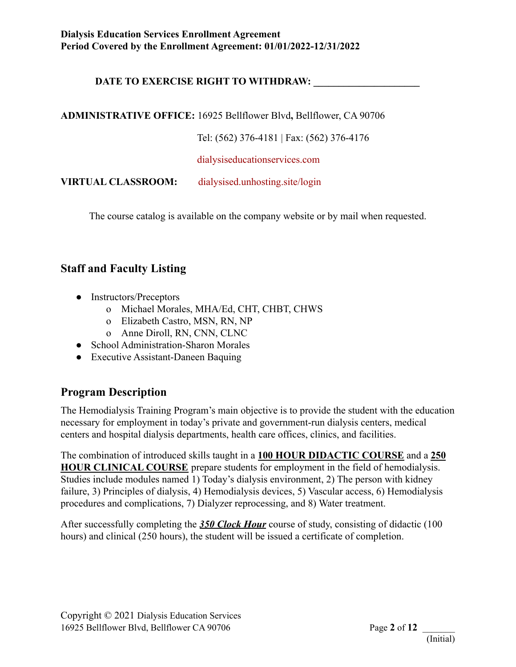## **DATE TO EXERCISE RIGHT TO WITHDRAW: \_\_\_\_\_\_\_\_\_\_\_\_\_\_\_\_\_\_\_\_\_**

**ADMINISTRATIVE OFFICE:** 16925 Bellflower Blvd**,** Bellflower, CA 90706

Tel: (562) 376-4181 | Fax: (562) 376-4176

[dialysiseducationservices.com](http://dialysiseducationservices.com)

**VIRTUAL CLASSROOM:** [dialysised.unhosting.site/login](http://dialysised.unhosting.site/login)

The course catalog is available on the company website or by mail when requested.

# **Staff and Faculty Listing**

- Instructors/Preceptors
	- o Michael Morales, MHA/Ed, CHT, CHBT, CHWS
	- o Elizabeth Castro, MSN, RN, NP
	- o Anne Diroll, RN, CNN, CLNC
- School Administration-Sharon Morales
- Executive Assistant-Daneen Baquing

# **Program Description**

The Hemodialysis Training Program's main objective is to provide the student with the education necessary for employment in today's private and government-run dialysis centers, medical centers and hospital dialysis departments, health care offices, clinics, and facilities.

The combination of introduced skills taught in a **100 HOUR DIDACTIC COURSE** and a **250 HOUR CLINICAL COURSE** prepare students for employment in the field of hemodialysis. Studies include modules named 1) Today's dialysis environment, 2) The person with kidney failure, 3) Principles of dialysis, 4) Hemodialysis devices, 5) Vascular access, 6) Hemodialysis procedures and complications, 7) Dialyzer reprocessing, and 8) Water treatment.

After successfully completing the *350 Clock Hour* course of study, consisting of didactic (100 hours) and clinical (250 hours), the student will be issued a certificate of completion.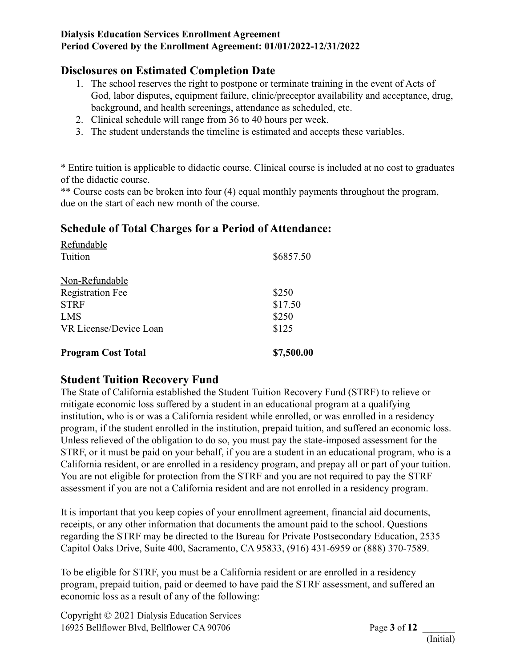# **Disclosures on Estimated Completion Date**

- 1. The school reserves the right to postpone or terminate training in the event of Acts of God, labor disputes, equipment failure, clinic/preceptor availability and acceptance, drug, background, and health screenings, attendance as scheduled, etc.
- 2. Clinical schedule will range from 36 to 40 hours per week.
- 3. The student understands the timeline is estimated and accepts these variables.

\* Entire tuition is applicable to didactic course. Clinical course is included at no cost to graduates of the didactic course.

\*\* Course costs can be broken into four (4) equal monthly payments throughout the program, due on the start of each new month of the course.

# **Schedule of Total Charges for a Period of Attendance:**

| <b>Program Cost Total</b> | \$7,500.00 |
|---------------------------|------------|
| VR License/Device Loan    | \$125      |
| <b>LMS</b>                | \$250      |
| <b>STRF</b>               | \$17.50    |
| <b>Registration Fee</b>   | \$250      |
| Non-Refundable            |            |
| Tuition                   | \$6857.50  |
| Refundable                |            |

# **Student Tuition Recovery Fund**

The State of California established the Student Tuition Recovery Fund (STRF) to relieve or mitigate economic loss suffered by a student in an educational program at a qualifying institution, who is or was a California resident while enrolled, or was enrolled in a residency program, if the student enrolled in the institution, prepaid tuition, and suffered an economic loss. Unless relieved of the obligation to do so, you must pay the state-imposed assessment for the STRF, or it must be paid on your behalf, if you are a student in an educational program, who is a California resident, or are enrolled in a residency program, and prepay all or part of your tuition. You are not eligible for protection from the STRF and you are not required to pay the STRF assessment if you are not a California resident and are not enrolled in a residency program.

It is important that you keep copies of your enrollment agreement, financial aid documents, receipts, or any other information that documents the amount paid to the school. Questions regarding the STRF may be directed to the Bureau for Private Postsecondary Education, 2535 Capitol Oaks Drive, Suite 400, Sacramento, CA 95833, (916) 431-6959 or (888) 370-7589.

To be eligible for STRF, you must be a California resident or are enrolled in a residency program, prepaid tuition, paid or deemed to have paid the STRF assessment, and suffered an economic loss as a result of any of the following:

Copyright © 2021 Dialysis Education Services 16925 Bellflower Blvd, Bellflower CA 90706 Page **3** of **12** \_\_\_\_\_\_\_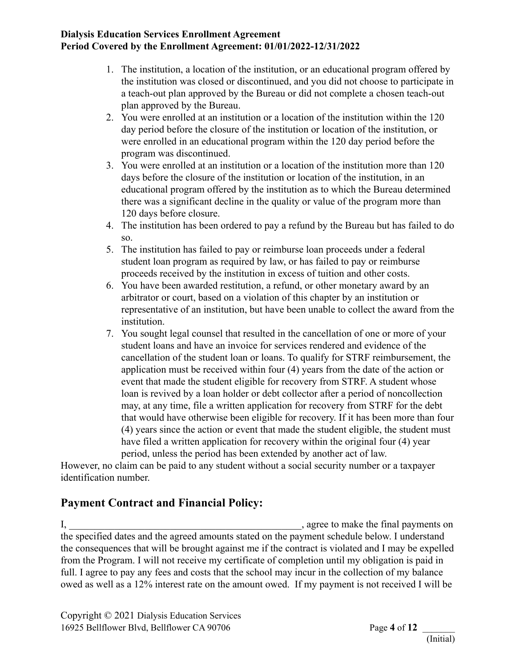- 1. The institution, a location of the institution, or an educational program offered by the institution was closed or discontinued, and you did not choose to participate in a teach-out plan approved by the Bureau or did not complete a chosen teach-out plan approved by the Bureau.
- 2. You were enrolled at an institution or a location of the institution within the 120 day period before the closure of the institution or location of the institution, or were enrolled in an educational program within the 120 day period before the program was discontinued.
- 3. You were enrolled at an institution or a location of the institution more than 120 days before the closure of the institution or location of the institution, in an educational program offered by the institution as to which the Bureau determined there was a significant decline in the quality or value of the program more than 120 days before closure.
- 4. The institution has been ordered to pay a refund by the Bureau but has failed to do so.
- 5. The institution has failed to pay or reimburse loan proceeds under a federal student loan program as required by law, or has failed to pay or reimburse proceeds received by the institution in excess of tuition and other costs.
- 6. You have been awarded restitution, a refund, or other monetary award by an arbitrator or court, based on a violation of this chapter by an institution or representative of an institution, but have been unable to collect the award from the institution.
- 7. You sought legal counsel that resulted in the cancellation of one or more of your student loans and have an invoice for services rendered and evidence of the cancellation of the student loan or loans. To qualify for STRF reimbursement, the application must be received within four (4) years from the date of the action or event that made the student eligible for recovery from STRF. A student whose loan is revived by a loan holder or debt collector after a period of noncollection may, at any time, file a written application for recovery from STRF for the debt that would have otherwise been eligible for recovery. If it has been more than four (4) years since the action or event that made the student eligible, the student must have filed a written application for recovery within the original four (4) year period, unless the period has been extended by another act of law.

However, no claim can be paid to any student without a social security number or a taxpayer identification number.

# **Payment Contract and Financial Policy:**

I, \_\_\_\_\_\_\_\_\_\_\_\_\_\_\_\_\_\_\_\_\_\_\_\_\_\_\_\_\_\_\_\_\_\_\_\_\_\_\_\_\_\_\_\_\_\_, agree to make the final payments on the specified dates and the agreed amounts stated on the payment schedule below. I understand the consequences that will be brought against me if the contract is violated and I may be expelled from the Program. I will not receive my certificate of completion until my obligation is paid in full. I agree to pay any fees and costs that the school may incur in the collection of my balance owed as well as a 12% interest rate on the amount owed. If my payment is not received I will be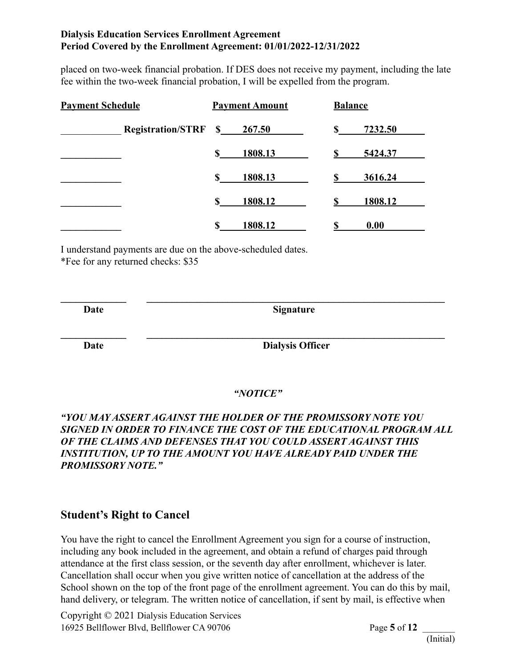placed on two-week financial probation. If DES does not receive my payment, including the late fee within the two-week financial probation, I will be expelled from the program.

| <b>Payment Schedule</b> |                                | <b>Payment Amount</b> |         | <b>Balance</b> |         |
|-------------------------|--------------------------------|-----------------------|---------|----------------|---------|
|                         | <b>Registration/STRF \$___</b> |                       | 267.50  | \$             | 7232.50 |
|                         |                                | \$                    | 1808.13 |                | 5424.37 |
|                         |                                | \$                    | 1808.13 | \$             | 3616.24 |
|                         |                                | \$                    | 1808.12 | \$             | 1808.12 |
|                         |                                | \$                    | 1808.12 |                | 0.00    |

I understand payments are due on the above-scheduled dates.

\*Fee for any returned checks: \$35

 $\mathcal{L} = \{ \mathcal{L} \mathcal{L} \mathcal{L} \mathcal{L} \mathcal{L} \mathcal{L} \mathcal{L} \mathcal{L} \mathcal{L} \mathcal{L} \mathcal{L} \mathcal{L} \mathcal{L} \mathcal{L} \mathcal{L} \mathcal{L} \mathcal{L} \mathcal{L} \mathcal{L} \mathcal{L} \mathcal{L} \mathcal{L} \mathcal{L} \mathcal{L} \mathcal{L} \mathcal{L} \mathcal{L} \mathcal{L} \mathcal{L} \mathcal{L} \mathcal{L} \mathcal{L} \mathcal{L} \mathcal{L} \mathcal{L} \$ **Date Signature**  $\mathcal{L} = \{ \mathcal{L} \mathcal{L} \mathcal{L} \mathcal{L} \mathcal{L} \mathcal{L} \mathcal{L} \mathcal{L} \mathcal{L} \mathcal{L} \mathcal{L} \mathcal{L} \mathcal{L} \mathcal{L} \mathcal{L} \mathcal{L} \mathcal{L} \mathcal{L} \mathcal{L} \mathcal{L} \mathcal{L} \mathcal{L} \mathcal{L} \mathcal{L} \mathcal{L} \mathcal{L} \mathcal{L} \mathcal{L} \mathcal{L} \mathcal{L} \mathcal{L} \mathcal{L} \mathcal{L} \mathcal{L} \mathcal{L} \$ **Date Dialysis Officer**

*"NOTICE"*

## *"YOU MAY ASSERT AGAINST THE HOLDER OF THE PROMISSORY NOTE YOU SIGNED IN ORDER TO FINANCE THE COST OF THE EDUCATIONAL PROGRAM ALL OF THE CLAIMS AND DEFENSES THAT YOU COULD ASSERT AGAINST THIS INSTITUTION, UP TO THE AMOUNT YOU HAVE ALREADY PAID UNDER THE PROMISSORY NOTE."*

# **Student's Right to Cancel**

You have the right to cancel the Enrollment Agreement you sign for a course of instruction, including any book included in the agreement, and obtain a refund of charges paid through attendance at the first class session, or the seventh day after enrollment, whichever is later. Cancellation shall occur when you give written notice of cancellation at the address of the School shown on the top of the front page of the enrollment agreement. You can do this by mail, hand delivery, or telegram. The written notice of cancellation, if sent by mail, is effective when

Copyright © 2021 Dialysis Education Services 16925 Bellflower Blvd, Bellflower CA 90706 Page **5** of **12** \_\_\_\_\_\_\_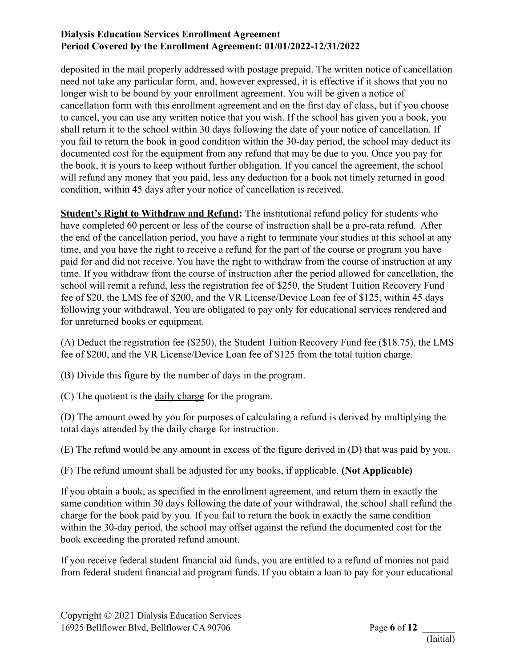deposited in the mail properly addressed with postage prepaid. The written notice of cancellation need not take any particular form, and, however expressed, it is effective if it shows that you no longer wish to be bound by your enrollment agreement. You will be given a notice of cancellation form with this enrollment agreement and on the first day of class, but if you choose to cancel, you can use any written notice that you wish. If the school has given you a book, you shall return it to the school within 30 days following the date of your notice of cancellation. If you fail to return the book in good condition within the 30-day period, the school may deduct its documented cost for the equipment from any refund that may be due to you. Once you pay for the book, it is yours to keep without further obligation. If you cancel the agreement, the school will refund any money that you paid, less any deduction for a book not timely returned in good condition, within 45 days after your notice of cancellation is received.

**Student's Right to Withdraw and Refund:** The institutional refund policy for students who have completed 60 percent or less of the course of instruction shall be a pro-rata refund. After the end of the cancellation period, you have a right to terminate your studies at this school at any time, and you have the right to receive a refund for the part of the course or program you have paid for and did not receive. You have the right to withdraw from the course of instruction at any time. If you withdraw from the course of instruction after the period allowed for cancellation, the school will remit a refund, less the registration fee of \$250, the Student Tuition Recovery Fund fee of \$20, the LMS fee of \$200, and the VR License/Device Loan fee of \$125, within 45 days following your withdrawal. You are obligated to pay only for educational services rendered and for unreturned books or equipment.

(A) Deduct the registration fee (\$250), the Student Tuition Recovery Fund fee (\$18.75), the LMS fee of \$200, and the VR License/Device Loan fee of \$125 from the total tuition charge.

(B) Divide this figure by the number of days in the program.

(C) The quotient is the daily charge for the program.

(D) The amount owed by you for purposes of calculating a refund is derived by multiplying the total days attended by the daily charge for instruction.

(E) The refund would be any amount in excess of the figure derived in (D) that was paid by you.

(F) The refund amount shall be adjusted for any books, if applicable. **(Not Applicable)**

If you obtain a book, as specified in the enrollment agreement, and return them in exactly the same condition within 30 days following the date of your withdrawal, the school shall refund the charge for the book paid by you. If you fail to return the book in exactly the same condition within the 30-day period, the school may offset against the refund the documented cost for the book exceeding the prorated refund amount.

If you receive federal student financial aid funds, you are entitled to a refund of monies not paid from federal student financial aid program funds. If you obtain a loan to pay for your educational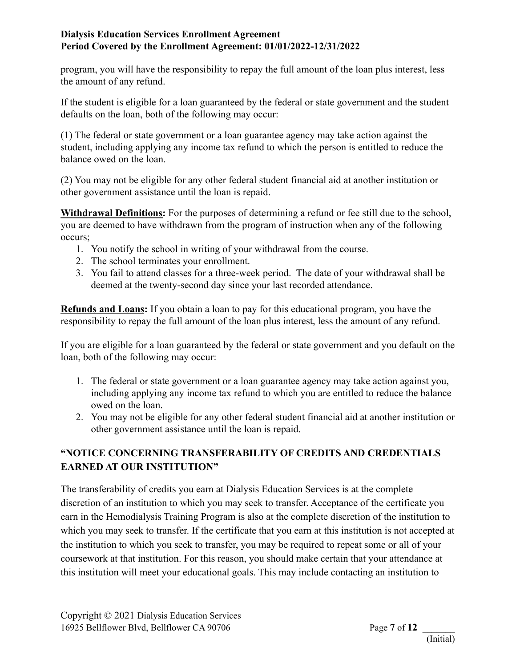program, you will have the responsibility to repay the full amount of the loan plus interest, less the amount of any refund.

If the student is eligible for a loan guaranteed by the federal or state government and the student defaults on the loan, both of the following may occur:

(1) The federal or state government or a loan guarantee agency may take action against the student, including applying any income tax refund to which the person is entitled to reduce the balance owed on the loan.

(2) You may not be eligible for any other federal student financial aid at another institution or other government assistance until the loan is repaid.

**Withdrawal Definitions:** For the purposes of determining a refund or fee still due to the school, you are deemed to have withdrawn from the program of instruction when any of the following occurs;

- 1. You notify the school in writing of your withdrawal from the course.
- 2. The school terminates your enrollment.
- 3. You fail to attend classes for a three-week period. The date of your withdrawal shall be deemed at the twenty-second day since your last recorded attendance.

**Refunds and Loans:** If you obtain a loan to pay for this educational program, you have the responsibility to repay the full amount of the loan plus interest, less the amount of any refund.

If you are eligible for a loan guaranteed by the federal or state government and you default on the loan, both of the following may occur:

- 1. The federal or state government or a loan guarantee agency may take action against you, including applying any income tax refund to which you are entitled to reduce the balance owed on the loan.
- 2. You may not be eligible for any other federal student financial aid at another institution or other government assistance until the loan is repaid.

# **"NOTICE CONCERNING TRANSFERABILITY OF CREDITS AND CREDENTIALS EARNED AT OUR INSTITUTION"**

The transferability of credits you earn at Dialysis Education Services is at the complete discretion of an institution to which you may seek to transfer. Acceptance of the certificate you earn in the Hemodialysis Training Program is also at the complete discretion of the institution to which you may seek to transfer. If the certificate that you earn at this institution is not accepted at the institution to which you seek to transfer, you may be required to repeat some or all of your coursework at that institution. For this reason, you should make certain that your attendance at this institution will meet your educational goals. This may include contacting an institution to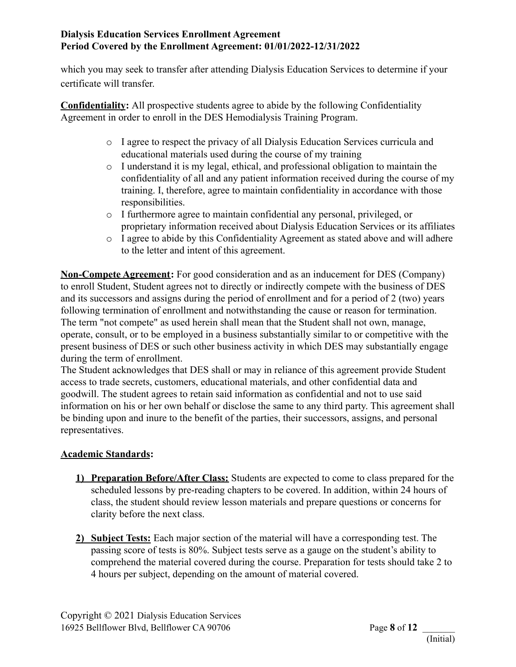which you may seek to transfer after attending Dialysis Education Services to determine if your certificate will transfer.

**Confidentiality:** All prospective students agree to abide by the following Confidentiality Agreement in order to enroll in the DES Hemodialysis Training Program.

- o I agree to respect the privacy of all Dialysis Education Services curricula and educational materials used during the course of my training
- o I understand it is my legal, ethical, and professional obligation to maintain the confidentiality of all and any patient information received during the course of my training. I, therefore, agree to maintain confidentiality in accordance with those responsibilities.
- o I furthermore agree to maintain confidential any personal, privileged, or proprietary information received about Dialysis Education Services or its affiliates
- o I agree to abide by this Confidentiality Agreement as stated above and will adhere to the letter and intent of this agreement.

**Non-Compete Agreement:** For good consideration and as an inducement for DES (Company) to enroll Student, Student agrees not to directly or indirectly compete with the business of DES and its successors and assigns during the period of enrollment and for a period of 2 (two) years following termination of enrollment and notwithstanding the cause or reason for termination. The term "not compete" as used herein shall mean that the Student shall not own, manage, operate, consult, or to be employed in a business substantially similar to or competitive with the present business of DES or such other business activity in which DES may substantially engage during the term of enrollment.

The Student acknowledges that DES shall or may in reliance of this agreement provide Student access to trade secrets, customers, educational materials, and other confidential data and goodwill. The student agrees to retain said information as confidential and not to use said information on his or her own behalf or disclose the same to any third party. This agreement shall be binding upon and inure to the benefit of the parties, their successors, assigns, and personal representatives.

## **Academic Standards:**

- **1) Preparation Before/After Class:** Students are expected to come to class prepared for the scheduled lessons by pre-reading chapters to be covered. In addition, within 24 hours of class, the student should review lesson materials and prepare questions or concerns for clarity before the next class.
- **2) Subject Tests:** Each major section of the material will have a corresponding test. The passing score of tests is 80%. Subject tests serve as a gauge on the student's ability to comprehend the material covered during the course. Preparation for tests should take 2 to 4 hours per subject, depending on the amount of material covered.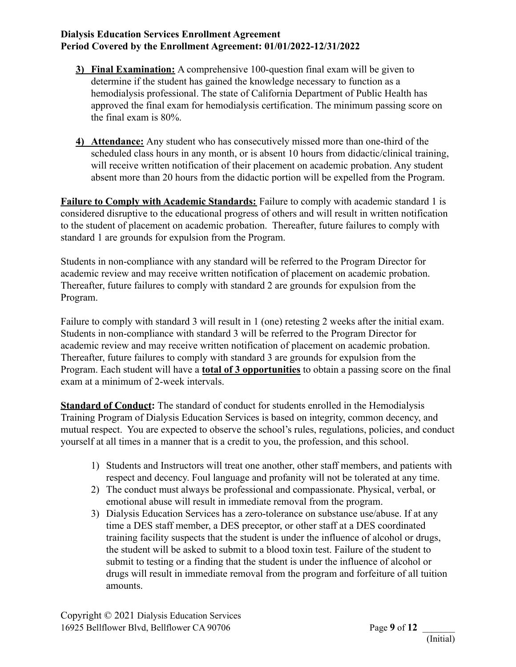- **3) Final Examination:** A comprehensive 100-question final exam will be given to determine if the student has gained the knowledge necessary to function as a hemodialysis professional. The state of California Department of Public Health has approved the final exam for hemodialysis certification. The minimum passing score on the final exam is 80%.
- **4) Attendance:** Any student who has consecutively missed more than one-third of the scheduled class hours in any month, or is absent 10 hours from didactic/clinical training, will receive written notification of their placement on academic probation. Any student absent more than 20 hours from the didactic portion will be expelled from the Program.

**Failure to Comply with Academic Standards:** Failure to comply with academic standard 1 is considered disruptive to the educational progress of others and will result in written notification to the student of placement on academic probation. Thereafter, future failures to comply with standard 1 are grounds for expulsion from the Program.

Students in non-compliance with any standard will be referred to the Program Director for academic review and may receive written notification of placement on academic probation. Thereafter, future failures to comply with standard 2 are grounds for expulsion from the Program.

Failure to comply with standard 3 will result in 1 (one) retesting 2 weeks after the initial exam. Students in non-compliance with standard 3 will be referred to the Program Director for academic review and may receive written notification of placement on academic probation. Thereafter, future failures to comply with standard 3 are grounds for expulsion from the Program. Each student will have a **total of 3 opportunities** to obtain a passing score on the final exam at a minimum of 2-week intervals.

**Standard of Conduct:** The standard of conduct for students enrolled in the Hemodialysis Training Program of Dialysis Education Services is based on integrity, common decency, and mutual respect. You are expected to observe the school's rules, regulations, policies, and conduct yourself at all times in a manner that is a credit to you, the profession, and this school.

- 1) Students and Instructors will treat one another, other staff members, and patients with respect and decency. Foul language and profanity will not be tolerated at any time.
- 2) The conduct must always be professional and compassionate. Physical, verbal, or emotional abuse will result in immediate removal from the program.
- 3) Dialysis Education Services has a zero-tolerance on substance use/abuse. If at any time a DES staff member, a DES preceptor, or other staff at a DES coordinated training facility suspects that the student is under the influence of alcohol or drugs, the student will be asked to submit to a blood toxin test. Failure of the student to submit to testing or a finding that the student is under the influence of alcohol or drugs will result in immediate removal from the program and forfeiture of all tuition amounts.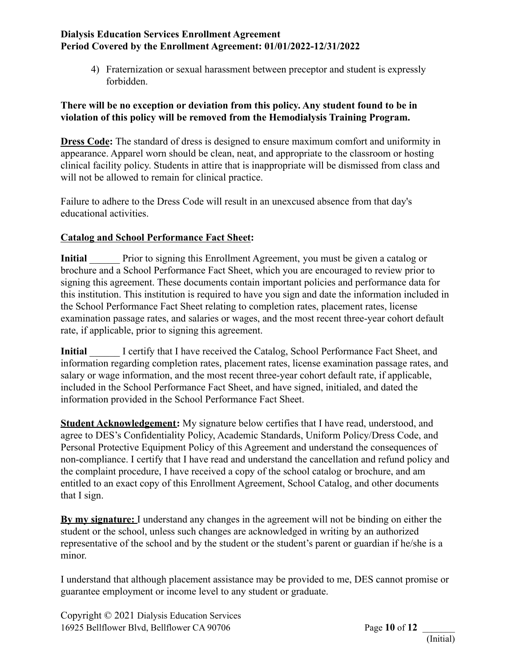4) Fraternization or sexual harassment between preceptor and student is expressly forbidden.

#### **There will be no exception or deviation from this policy. Any student found to be in violation of this policy will be removed from the Hemodialysis Training Program.**

**Dress Code:** The standard of dress is designed to ensure maximum comfort and uniformity in appearance. Apparel worn should be clean, neat, and appropriate to the classroom or hosting clinical facility policy. Students in attire that is inappropriate will be dismissed from class and will not be allowed to remain for clinical practice.

Failure to adhere to the Dress Code will result in an unexcused absence from that day's educational activities.

### **Catalog and School Performance Fact Sheet:**

**Initial** Prior to signing this Enrollment Agreement, you must be given a catalog or brochure and a School Performance Fact Sheet, which you are encouraged to review prior to signing this agreement. These documents contain important policies and performance data for this institution. This institution is required to have you sign and date the information included in the School Performance Fact Sheet relating to completion rates, placement rates, license examination passage rates, and salaries or wages, and the most recent three-year cohort default rate, if applicable, prior to signing this agreement.

**I certify that I have received the Catalog, School Performance Fact Sheet, and** information regarding completion rates, placement rates, license examination passage rates, and salary or wage information, and the most recent three-year cohort default rate, if applicable, included in the School Performance Fact Sheet, and have signed, initialed, and dated the information provided in the School Performance Fact Sheet.

**Student Acknowledgement:** My signature below certifies that I have read, understood, and agree to DES's Confidentiality Policy, Academic Standards, Uniform Policy/Dress Code, and Personal Protective Equipment Policy of this Agreement and understand the consequences of non-compliance. I certify that I have read and understand the cancellation and refund policy and the complaint procedure, I have received a copy of the school catalog or brochure, and am entitled to an exact copy of this Enrollment Agreement, School Catalog, and other documents that I sign.

**By my signature:** I understand any changes in the agreement will not be binding on either the student or the school, unless such changes are acknowledged in writing by an authorized representative of the school and by the student or the student's parent or guardian if he/she is a minor.

I understand that although placement assistance may be provided to me, DES cannot promise or guarantee employment or income level to any student or graduate.

Copyright © 2021 Dialysis Education Services 16925 Bellflower Blvd, Bellflower CA 90706 Page **10** of **12** \_\_\_\_\_\_\_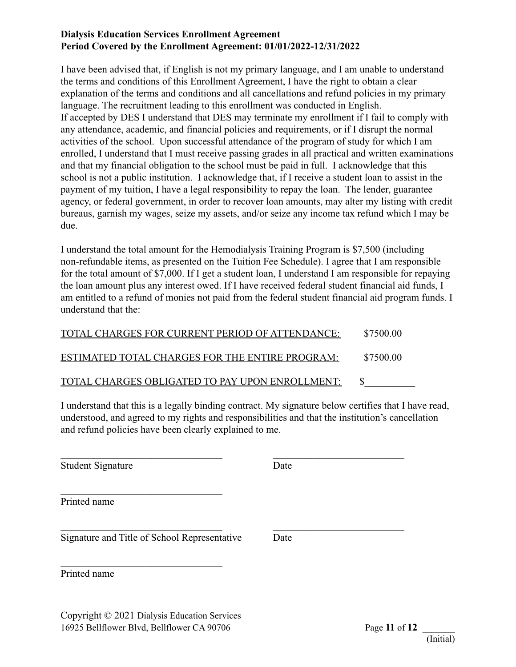I have been advised that, if English is not my primary language, and I am unable to understand the terms and conditions of this Enrollment Agreement, I have the right to obtain a clear explanation of the terms and conditions and all cancellations and refund policies in my primary language. The recruitment leading to this enrollment was conducted in English. If accepted by DES I understand that DES may terminate my enrollment if I fail to comply with any attendance, academic, and financial policies and requirements, or if I disrupt the normal activities of the school. Upon successful attendance of the program of study for which I am enrolled, I understand that I must receive passing grades in all practical and written examinations and that my financial obligation to the school must be paid in full. I acknowledge that this school is not a public institution. I acknowledge that, if I receive a student loan to assist in the payment of my tuition, I have a legal responsibility to repay the loan. The lender, guarantee agency, or federal government, in order to recover loan amounts, may alter my listing with credit bureaus, garnish my wages, seize my assets, and/or seize any income tax refund which I may be due.

I understand the total amount for the Hemodialysis Training Program is \$7,500 (including non-refundable items, as presented on the Tuition Fee Schedule). I agree that I am responsible for the total amount of \$7,000. If I get a student loan, I understand I am responsible for repaying the loan amount plus any interest owed. If I have received federal student financial aid funds, I am entitled to a refund of monies not paid from the federal student financial aid program funds. I understand that the:

| TOTAL CHARGES FOR CURRENT PERIOD OF ATTENDANCE: | \$7500.00 |
|-------------------------------------------------|-----------|
| ESTIMATED TOTAL CHARGES FOR THE ENTIRE PROGRAM: | \$7500.00 |
| TOTAL CHARGES OBLIGATED TO PAY UPON ENROLLMENT: |           |

 $\mathcal{L}_\text{max}$  and the contract of the contract of the contract of the contract of the contract of the contract of

 $\mathcal{L}_\text{max}$  and the contract of the contract of the contract of the contract of the contract of the contract of

I understand that this is a legally binding contract. My signature below certifies that I have read, understood, and agreed to my rights and responsibilities and that the institution's cancellation and refund policies have been clearly explained to me.

Student Signature Date

Printed name

Signature and Title of School Representative Date

 $\mathcal{L}_\text{max}$ 

 $\mathcal{L}_\text{max}$ 

Printed name

Copyright © 2021 Dialysis Education Services 16925 Bellflower Blvd, Bellflower CA 90706 Page **11** of **12** \_\_\_\_\_\_\_